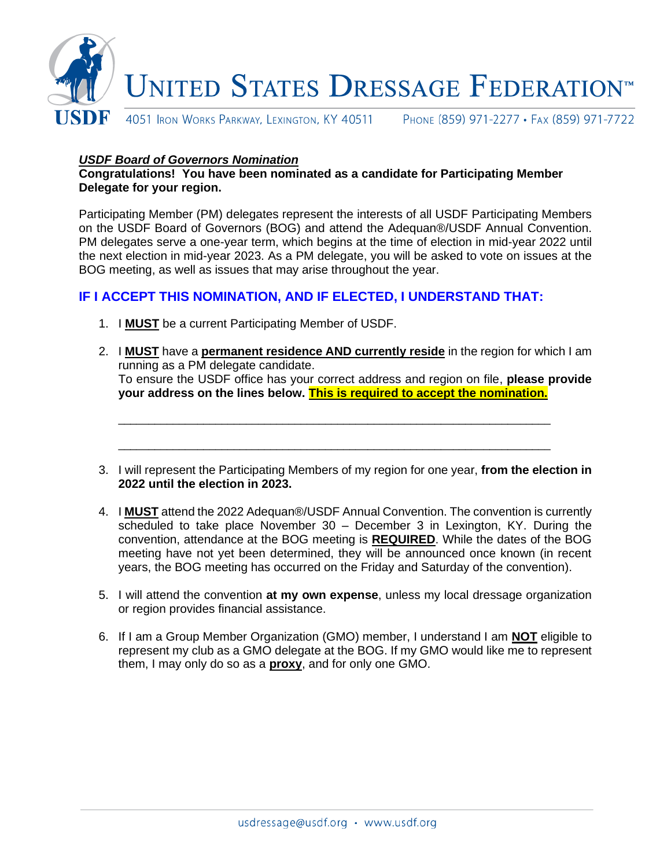

## *USDF Board of Governors Nomination*

**Congratulations! You have been nominated as a candidate for Participating Member Delegate for your region.**

Participating Member (PM) delegates represent the interests of all USDF Participating Members on the USDF Board of Governors (BOG) and attend the Adequan®/USDF Annual Convention. PM delegates serve a one-year term, which begins at the time of election in mid-year 2022 until the next election in mid-year 2023. As a PM delegate, you will be asked to vote on issues at the BOG meeting, as well as issues that may arise throughout the year.

## **IF I ACCEPT THIS NOMINATION, AND IF ELECTED, I UNDERSTAND THAT:**

- 1. I **MUST** be a current Participating Member of USDF.
- 2. I **MUST** have a **permanent residence AND currently reside** in the region for which I am running as a PM delegate candidate. To ensure the USDF office has your correct address and region on file, **please provide your address on the lines below. This is required to accept the nomination.**

\_\_\_\_\_\_\_\_\_\_\_\_\_\_\_\_\_\_\_\_\_\_\_\_\_\_\_\_\_\_\_\_\_\_\_\_\_\_\_\_\_\_\_\_\_\_\_\_\_\_\_\_\_\_\_\_\_\_\_\_\_\_\_\_\_\_\_\_\_\_\_

\_\_\_\_\_\_\_\_\_\_\_\_\_\_\_\_\_\_\_\_\_\_\_\_\_\_\_\_\_\_\_\_\_\_\_\_\_\_\_\_\_\_\_\_\_\_\_\_\_\_\_\_\_\_\_\_\_\_\_\_\_\_\_\_\_\_\_\_\_\_\_

- 3. I will represent the Participating Members of my region for one year, **from the election in 2022 until the election in 2023.**
- 4. I **MUST** attend the 2022 Adequan®/USDF Annual Convention. The convention is currently scheduled to take place November 30 – December 3 in Lexington, KY. During the convention, attendance at the BOG meeting is **REQUIRED**. While the dates of the BOG meeting have not yet been determined, they will be announced once known (in recent years, the BOG meeting has occurred on the Friday and Saturday of the convention).
- 5. I will attend the convention **at my own expense**, unless my local dressage organization or region provides financial assistance.
- 6. If I am a Group Member Organization (GMO) member, I understand I am **NOT** eligible to represent my club as a GMO delegate at the BOG. If my GMO would like me to represent them, I may only do so as a **proxy**, and for only one GMO.